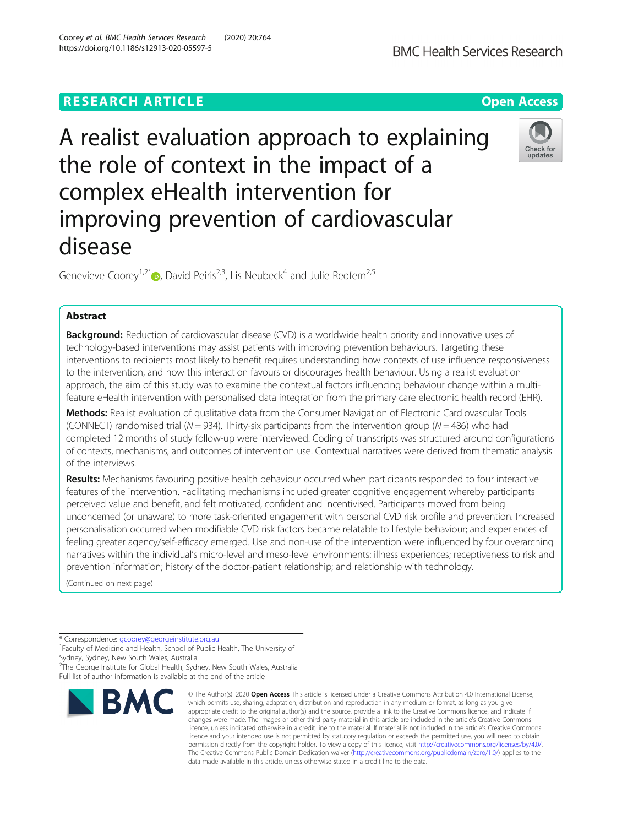# **RESEARCH ARTICLE Example 2014 12:30 The Open Access**

A realist evaluation approach to explaining the role of context in the impact of a complex eHealth intervention for improving prevention of cardiovascular disease

Genevieve Coorey<sup>1[,](http://orcid.org/0000-0003-4624-9947)2\*</sup>  $\bullet$ , David Peiris<sup>2,3</sup>, Lis Neubeck<sup>4</sup> and Julie Redfern<sup>2,5</sup>

## Abstract

Background: Reduction of cardiovascular disease (CVD) is a worldwide health priority and innovative uses of technology-based interventions may assist patients with improving prevention behaviours. Targeting these interventions to recipients most likely to benefit requires understanding how contexts of use influence responsiveness to the intervention, and how this interaction favours or discourages health behaviour. Using a realist evaluation approach, the aim of this study was to examine the contextual factors influencing behaviour change within a multifeature eHealth intervention with personalised data integration from the primary care electronic health record (EHR).

Methods: Realist evaluation of qualitative data from the Consumer Navigation of Electronic Cardiovascular Tools (CONNECT) randomised trial ( $N = 934$ ). Thirty-six participants from the intervention group ( $N = 486$ ) who had completed 12 months of study follow-up were interviewed. Coding of transcripts was structured around configurations of contexts, mechanisms, and outcomes of intervention use. Contextual narratives were derived from thematic analysis of the interviews.

Results: Mechanisms favouring positive health behaviour occurred when participants responded to four interactive features of the intervention. Facilitating mechanisms included greater cognitive engagement whereby participants perceived value and benefit, and felt motivated, confident and incentivised. Participants moved from being unconcerned (or unaware) to more task-oriented engagement with personal CVD risk profile and prevention. Increased personalisation occurred when modifiable CVD risk factors became relatable to lifestyle behaviour; and experiences of feeling greater agency/self-efficacy emerged. Use and non-use of the intervention were influenced by four overarching narratives within the individual's micro-level and meso-level environments: illness experiences; receptiveness to risk and prevention information; history of the doctor-patient relationship; and relationship with technology.

(Continued on next page)

<sup>2</sup>The George Institute for Global Health, Sydney, New South Wales, Australia Full list of author information is available at the end of the article



© The Author(s), 2020 **Open Access** This article is licensed under a Creative Commons Attribution 4.0 International License,





<sup>\*</sup> Correspondence: [gcoorey@georgeinstitute.org.au](mailto:gcoorey@georgeinstitute.org.au) <sup>1</sup>

<sup>&</sup>lt;sup>1</sup> Faculty of Medicine and Health, School of Public Health, The University of Sydney, Sydney, New South Wales, Australia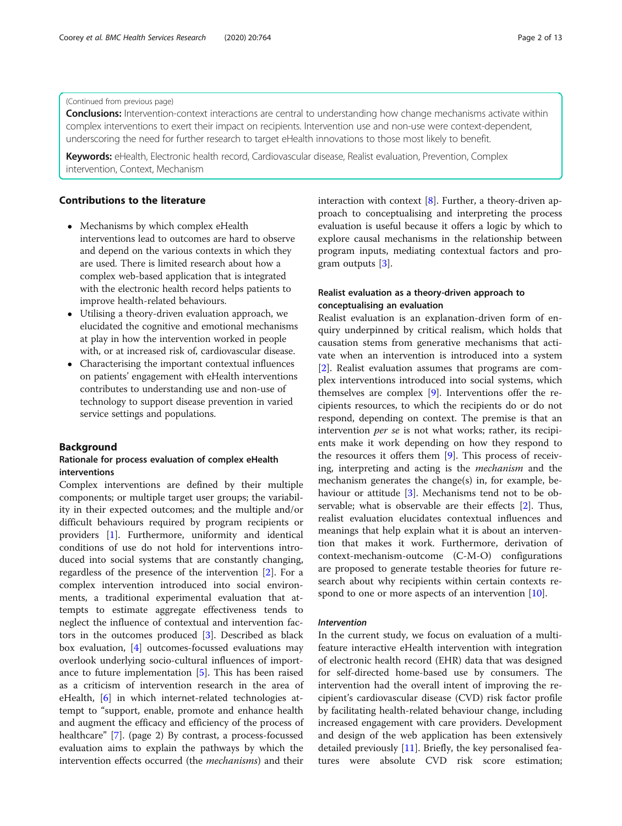### (Continued from previous page)

**Conclusions:** Intervention-context interactions are central to understanding how change mechanisms activate within complex interventions to exert their impact on recipients. Intervention use and non-use were context-dependent, underscoring the need for further research to target eHealth innovations to those most likely to benefit.

Keywords: eHealth, Electronic health record, Cardiovascular disease, Realist evaluation, Prevention, Complex intervention, Context, Mechanism

## Contributions to the literature

- Mechanisms by which complex eHealth interventions lead to outcomes are hard to observe and depend on the various contexts in which they are used. There is limited research about how a complex web-based application that is integrated with the electronic health record helps patients to improve health-related behaviours.
- Utilising a theory-driven evaluation approach, we elucidated the cognitive and emotional mechanisms at play in how the intervention worked in people with, or at increased risk of, cardiovascular disease.
- Characterising the important contextual influences on patients' engagement with eHealth interventions contributes to understanding use and non-use of technology to support disease prevention in varied service settings and populations.

### Background

## Rationale for process evaluation of complex eHealth interventions

Complex interventions are defined by their multiple components; or multiple target user groups; the variability in their expected outcomes; and the multiple and/or difficult behaviours required by program recipients or providers [\[1\]](#page-11-0). Furthermore, uniformity and identical conditions of use do not hold for interventions introduced into social systems that are constantly changing, regardless of the presence of the intervention [\[2](#page-11-0)]. For a complex intervention introduced into social environments, a traditional experimental evaluation that attempts to estimate aggregate effectiveness tends to neglect the influence of contextual and intervention factors in the outcomes produced [[3\]](#page-11-0). Described as black box evaluation, [\[4](#page-11-0)] outcomes-focussed evaluations may overlook underlying socio-cultural influences of importance to future implementation  $[5]$  $[5]$ . This has been raised as a criticism of intervention research in the area of eHealth, [[6\]](#page-11-0) in which internet-related technologies attempt to "support, enable, promote and enhance health and augment the efficacy and efficiency of the process of healthcare" [\[7](#page-11-0)]. (page 2) By contrast, a process-focussed evaluation aims to explain the pathways by which the intervention effects occurred (the mechanisms) and their

interaction with context  $[8]$  $[8]$ . Further, a theory-driven approach to conceptualising and interpreting the process evaluation is useful because it offers a logic by which to explore causal mechanisms in the relationship between program inputs, mediating contextual factors and program outputs [[3\]](#page-11-0).

## Realist evaluation as a theory-driven approach to conceptualising an evaluation

Realist evaluation is an explanation-driven form of enquiry underpinned by critical realism, which holds that causation stems from generative mechanisms that activate when an intervention is introduced into a system [[2\]](#page-11-0). Realist evaluation assumes that programs are complex interventions introduced into social systems, which themselves are complex [[9\]](#page-11-0). Interventions offer the recipients resources, to which the recipients do or do not respond, depending on context. The premise is that an intervention per se is not what works; rather, its recipients make it work depending on how they respond to the resources it offers them [[9](#page-11-0)]. This process of receiving, interpreting and acting is the mechanism and the mechanism generates the change(s) in, for example, be-haviour or attitude [[3](#page-11-0)]. Mechanisms tend not to be observable; what is observable are their effects [[2\]](#page-11-0). Thus, realist evaluation elucidates contextual influences and meanings that help explain what it is about an intervention that makes it work. Furthermore, derivation of context-mechanism-outcome (C-M-O) configurations are proposed to generate testable theories for future research about why recipients within certain contexts re-spond to one or more aspects of an intervention [\[10](#page-11-0)].

## Intervention

In the current study, we focus on evaluation of a multifeature interactive eHealth intervention with integration of electronic health record (EHR) data that was designed for self-directed home-based use by consumers. The intervention had the overall intent of improving the recipient's cardiovascular disease (CVD) risk factor profile by facilitating health-related behaviour change, including increased engagement with care providers. Development and design of the web application has been extensively detailed previously [\[11](#page-11-0)]. Briefly, the key personalised features were absolute CVD risk score estimation;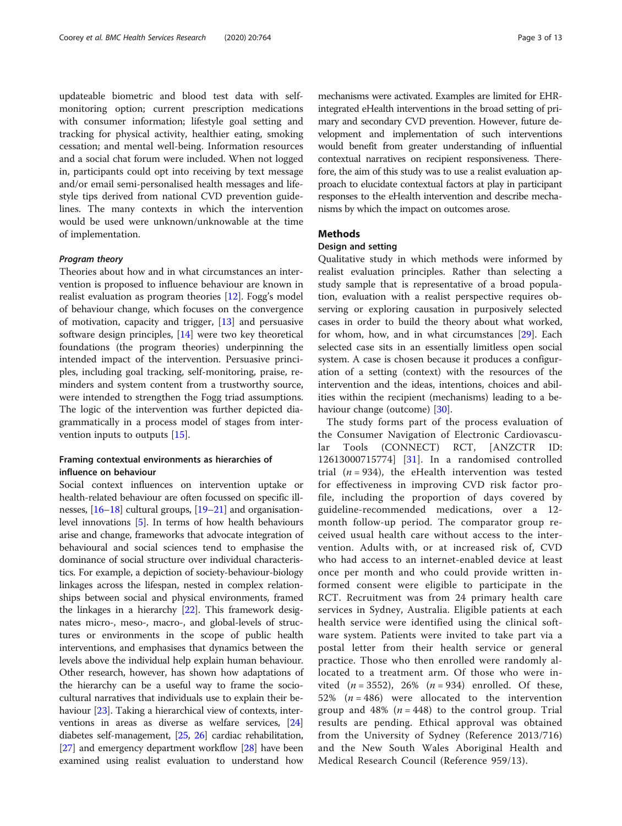updateable biometric and blood test data with selfmonitoring option; current prescription medications with consumer information; lifestyle goal setting and tracking for physical activity, healthier eating, smoking cessation; and mental well-being. Information resources and a social chat forum were included. When not logged in, participants could opt into receiving by text message and/or email semi-personalised health messages and lifestyle tips derived from national CVD prevention guidelines. The many contexts in which the intervention would be used were unknown/unknowable at the time of implementation.

### Program theory

Theories about how and in what circumstances an intervention is proposed to influence behaviour are known in realist evaluation as program theories [\[12\]](#page-11-0). Fogg's model of behaviour change, which focuses on the convergence of motivation, capacity and trigger, [\[13\]](#page-11-0) and persuasive software design principles,  $[14]$  $[14]$  were two key theoretical foundations (the program theories) underpinning the intended impact of the intervention. Persuasive principles, including goal tracking, self-monitoring, praise, reminders and system content from a trustworthy source, were intended to strengthen the Fogg triad assumptions. The logic of the intervention was further depicted diagrammatically in a process model of stages from intervention inputs to outputs [[15\]](#page-11-0).

## Framing contextual environments as hierarchies of influence on behaviour

Social context influences on intervention uptake or health-related behaviour are often focussed on specific illnesses, [[16](#page-11-0)–[18\]](#page-11-0) cultural groups, [\[19](#page-11-0)–[21](#page-11-0)] and organisationlevel innovations [\[5](#page-11-0)]. In terms of how health behaviours arise and change, frameworks that advocate integration of behavioural and social sciences tend to emphasise the dominance of social structure over individual characteristics. For example, a depiction of society-behaviour-biology linkages across the lifespan, nested in complex relationships between social and physical environments, framed the linkages in a hierarchy [\[22\]](#page-11-0). This framework designates micro-, meso-, macro-, and global-levels of structures or environments in the scope of public health interventions, and emphasises that dynamics between the levels above the individual help explain human behaviour. Other research, however, has shown how adaptations of the hierarchy can be a useful way to frame the sociocultural narratives that individuals use to explain their behaviour [\[23\]](#page-11-0). Taking a hierarchical view of contexts, interventions in areas as diverse as welfare services, [[24](#page-11-0)] diabetes self-management, [[25](#page-11-0), [26\]](#page-11-0) cardiac rehabilitation, [[27](#page-11-0)] and emergency department workflow [[28](#page-12-0)] have been examined using realist evaluation to understand how

mechanisms were activated. Examples are limited for EHRintegrated eHealth interventions in the broad setting of primary and secondary CVD prevention. However, future development and implementation of such interventions would benefit from greater understanding of influential contextual narratives on recipient responsiveness. Therefore, the aim of this study was to use a realist evaluation approach to elucidate contextual factors at play in participant responses to the eHealth intervention and describe mechanisms by which the impact on outcomes arose.

## Methods

#### Design and setting

Qualitative study in which methods were informed by realist evaluation principles. Rather than selecting a study sample that is representative of a broad population, evaluation with a realist perspective requires observing or exploring causation in purposively selected cases in order to build the theory about what worked, for whom, how, and in what circumstances [\[29](#page-12-0)]. Each selected case sits in an essentially limitless open social system. A case is chosen because it produces a configuration of a setting (context) with the resources of the intervention and the ideas, intentions, choices and abilities within the recipient (mechanisms) leading to a behaviour change (outcome) [\[30](#page-12-0)].

The study forms part of the process evaluation of the Consumer Navigation of Electronic Cardiovascular Tools (CONNECT) RCT, [ANZCTR ID: 12613000715774] [\[31\]](#page-12-0). In a randomised controlled trial  $(n = 934)$ , the eHealth intervention was tested for effectiveness in improving CVD risk factor profile, including the proportion of days covered by guideline-recommended medications, over a 12 month follow-up period. The comparator group received usual health care without access to the intervention. Adults with, or at increased risk of, CVD who had access to an internet-enabled device at least once per month and who could provide written informed consent were eligible to participate in the RCT. Recruitment was from 24 primary health care services in Sydney, Australia. Eligible patients at each health service were identified using the clinical software system. Patients were invited to take part via a postal letter from their health service or general practice. Those who then enrolled were randomly allocated to a treatment arm. Of those who were invited  $(n = 3552)$ , 26%  $(n = 934)$  enrolled. Of these, 52% ( $n = 486$ ) were allocated to the intervention group and 48%  $(n = 448)$  to the control group. Trial results are pending. Ethical approval was obtained from the University of Sydney (Reference 2013/716) and the New South Wales Aboriginal Health and Medical Research Council (Reference 959/13).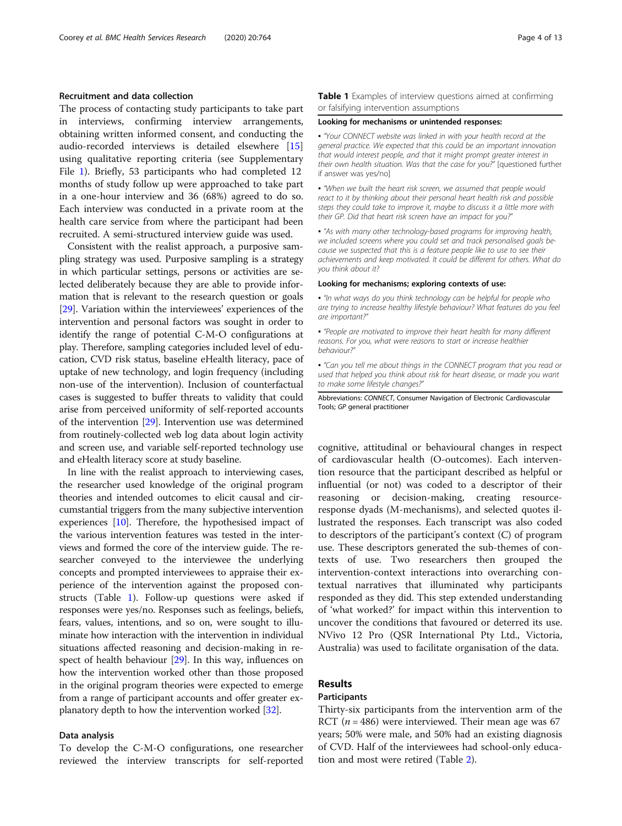## Recruitment and data collection

The process of contacting study participants to take part in interviews, confirming interview arrangements, obtaining written informed consent, and conducting the audio-recorded interviews is detailed elsewhere [[15](#page-11-0)] using qualitative reporting criteria (see Supplementary File [1\)](#page-10-0). Briefly, 53 participants who had completed 12 months of study follow up were approached to take part in a one-hour interview and 36 (68%) agreed to do so. Each interview was conducted in a private room at the health care service from where the participant had been recruited. A semi-structured interview guide was used.

Consistent with the realist approach, a purposive sampling strategy was used. Purposive sampling is a strategy in which particular settings, persons or activities are selected deliberately because they are able to provide information that is relevant to the research question or goals [[29](#page-12-0)]. Variation within the interviewees' experiences of the intervention and personal factors was sought in order to identify the range of potential C-M-O configurations at play. Therefore, sampling categories included level of education, CVD risk status, baseline eHealth literacy, pace of uptake of new technology, and login frequency (including non-use of the intervention). Inclusion of counterfactual cases is suggested to buffer threats to validity that could arise from perceived uniformity of self-reported accounts of the intervention [\[29\]](#page-12-0). Intervention use was determined from routinely-collected web log data about login activity and screen use, and variable self-reported technology use and eHealth literacy score at study baseline.

In line with the realist approach to interviewing cases, the researcher used knowledge of the original program theories and intended outcomes to elicit causal and circumstantial triggers from the many subjective intervention experiences [\[10\]](#page-11-0). Therefore, the hypothesised impact of the various intervention features was tested in the interviews and formed the core of the interview guide. The researcher conveyed to the interviewee the underlying concepts and prompted interviewees to appraise their experience of the intervention against the proposed constructs (Table 1). Follow-up questions were asked if responses were yes/no. Responses such as feelings, beliefs, fears, values, intentions, and so on, were sought to illuminate how interaction with the intervention in individual situations affected reasoning and decision-making in respect of health behaviour [[29](#page-12-0)]. In this way, influences on how the intervention worked other than those proposed in the original program theories were expected to emerge from a range of participant accounts and offer greater explanatory depth to how the intervention worked [[32](#page-12-0)].

#### Data analysis

To develop the C-M-O configurations, one researcher reviewed the interview transcripts for self-reported Table 1 Examples of interview questions aimed at confirming or falsifying intervention assumptions

#### Looking for mechanisms or unintended responses:

▪ "Your CONNECT website was linked in with your health record at the general practice. We expected that this could be an important innovation that would interest people, and that it might prompt greater interest in their own health situation. Was that the case for you?" [questioned further if answer was yes/no]

. "When we built the heart risk screen, we assumed that people would react to it by thinking about their personal heart health risk and possible steps they could take to improve it, maybe to discuss it a little more with their GP. Did that heart risk screen have an impact for you?"

. "As with many other technology-based programs for improving health, we included screens where you could set and track personalised goals because we suspected that this is a feature people like to use to see their achievements and keep motivated. It could be different for others. What do you think about it?

#### Looking for mechanisms; exploring contexts of use:

▪ "In what ways do you think technology can be helpful for people who are trying to increase healthy lifestyle behaviour? What features do you feel are important?"

▪ "People are motivated to improve their heart health for many different reasons. For you, what were reasons to start or increase healthier behaviour?"

▪ "Can you tell me about things in the CONNECT program that you read or used that helped you think about risk for heart disease, or made you want to make some lifestyle changes?"

Abbreviations: CONNECT, Consumer Navigation of Electronic Cardiovascular Tools; GP general practitioner

cognitive, attitudinal or behavioural changes in respect of cardiovascular health (O-outcomes). Each intervention resource that the participant described as helpful or influential (or not) was coded to a descriptor of their reasoning or decision-making, creating resourceresponse dyads (M-mechanisms), and selected quotes illustrated the responses. Each transcript was also coded to descriptors of the participant's context (C) of program use. These descriptors generated the sub-themes of contexts of use. Two researchers then grouped the intervention-context interactions into overarching contextual narratives that illuminated why participants responded as they did. This step extended understanding of 'what worked?' for impact within this intervention to uncover the conditions that favoured or deterred its use. NVivo 12 Pro (QSR International Pty Ltd., Victoria, Australia) was used to facilitate organisation of the data.

## Results

## **Participants**

Thirty-six participants from the intervention arm of the RCT ( $n = 486$ ) were interviewed. Their mean age was 67 years; 50% were male, and 50% had an existing diagnosis of CVD. Half of the interviewees had school-only education and most were retired (Table [2](#page-4-0)).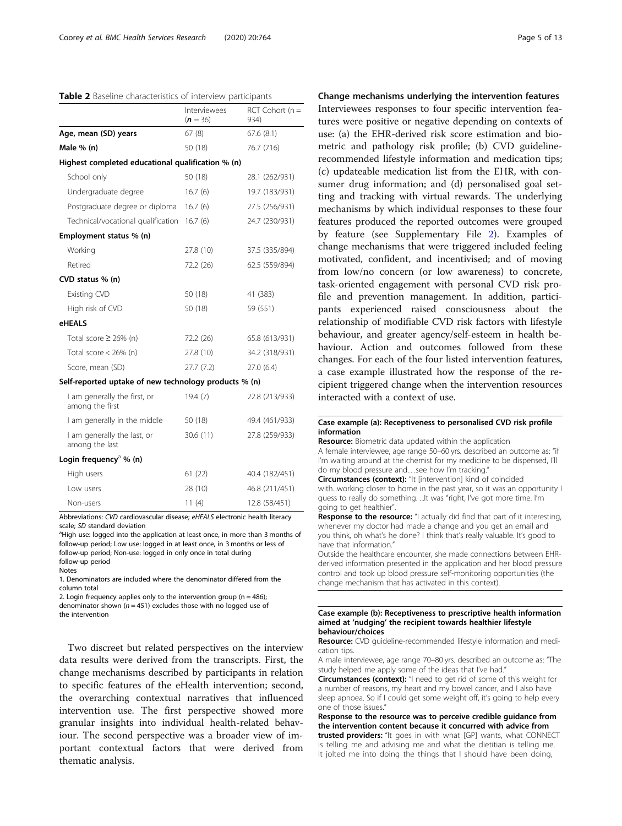<span id="page-4-0"></span>

|  |  | Table 2 Baseline characteristics of interview participants |  |  |
|--|--|------------------------------------------------------------|--|--|
|--|--|------------------------------------------------------------|--|--|

|                                                       | Interviewees<br>$(n = 36)$ | $RCT$ Cohort (n =<br>934) |
|-------------------------------------------------------|----------------------------|---------------------------|
| Age, mean (SD) years                                  | 67(8)                      | 67.6(8.1)                 |
| Male % (n)                                            | 50 (18)                    | 76.7 (716)                |
| Highest completed educational qualification % (n)     |                            |                           |
| School only                                           | 50 (18)                    | 28.1 (262/931)            |
| Undergraduate degree                                  | 16.7(6)                    | 19.7 (183/931)            |
| Postgraduate degree or diploma                        | 16.7(6)                    | 27.5 (256/931)            |
| Technical/vocational qualification                    | 16.7(6)                    | 24.7 (230/931)            |
| Employment status % (n)                               |                            |                           |
| Working                                               | 27.8 (10)                  | 37.5 (335/894)            |
| Retired                                               | 72.2 (26)                  | 62.5 (559/894)            |
| CVD status % (n)                                      |                            |                           |
| <b>Existing CVD</b>                                   | 50 (18)                    | 41 (383)                  |
| High risk of CVD                                      | 50 (18)                    | 59 (551)                  |
| eHEALS                                                |                            |                           |
| Total score $\geq$ 26% (n)                            | 72.2 (26)                  | 65.8 (613/931)            |
| Total score $<$ 26% (n)                               | 27.8 (10)                  | 34.2 (318/931)            |
| Score, mean (SD)                                      | 27.7(7.2)                  | 27.0 (6.4)                |
| Self-reported uptake of new technology products % (n) |                            |                           |
| I am generally the first, or<br>among the first       | 19.4 (7)                   | 22.8 (213/933)            |
| I am generally in the middle                          | 50 (18)                    | 49.4 (461/933)            |
| I am generally the last, or<br>among the last         | 30.6 (11)                  | 27.8 (259/933)            |
| Login frequency <sup>a</sup> % (n)                    |                            |                           |
| High users                                            | 61(22)                     | 40.4 (182/451)            |
| Low users                                             | 28 (10)                    | 46.8 (211/451)            |
| Non-users                                             | 11(4)                      | 12.8 (58/451)             |

Abbreviations: CVD cardiovascular disease; eHEALS electronic health literacy scale; SD standard deviation

<sup>a</sup>High use: logged into the application at least once, in more than 3 months of follow-up period; Low use: logged in at least once, in 3 months or less of follow-up period; Non-use: logged in only once in total during follow-up period

Notes

1. Denominators are included where the denominator differed from the column total

2. Login frequency applies only to the intervention group ( $n = 486$ ); denominator shown ( $n = 451$ ) excludes those with no logged use of the intervention

Two discreet but related perspectives on the interview data results were derived from the transcripts. First, the change mechanisms described by participants in relation to specific features of the eHealth intervention; second, the overarching contextual narratives that influenced intervention use. The first perspective showed more granular insights into individual health-related behaviour. The second perspective was a broader view of important contextual factors that were derived from thematic analysis.

## Change mechanisms underlying the intervention features

Interviewees responses to four specific intervention features were positive or negative depending on contexts of use: (a) the EHR-derived risk score estimation and biometric and pathology risk profile; (b) CVD guidelinerecommended lifestyle information and medication tips; (c) updateable medication list from the EHR, with consumer drug information; and (d) personalised goal setting and tracking with virtual rewards. The underlying mechanisms by which individual responses to these four features produced the reported outcomes were grouped by feature (see Supplementary File [2\)](#page-10-0). Examples of change mechanisms that were triggered included feeling motivated, confident, and incentivised; and of moving from low/no concern (or low awareness) to concrete, task-oriented engagement with personal CVD risk profile and prevention management. In addition, participants experienced raised consciousness about the relationship of modifiable CVD risk factors with lifestyle behaviour, and greater agency/self-esteem in health behaviour. Action and outcomes followed from these changes. For each of the four listed intervention features, a case example illustrated how the response of the recipient triggered change when the intervention resources interacted with a context of use.

#### Case example (a): Receptiveness to personalised CVD risk profile information

Resource: Biometric data updated within the application A female interviewee, age range 50–60 yrs. described an outcome as: "if

I'm waiting around at the chemist for my medicine to be dispensed, I'll do my blood pressure and…see how I'm tracking." Circumstances (context): "It [intervention] kind of coincided

with...working closer to home in the past year, so it was an opportunity I guess to really do something. ...It was "right, I've got more time. I'm going to get healthier".

Response to the resource: "I actually did find that part of it interesting, whenever my doctor had made a change and you get an email and you think, oh what's he done? I think that's really valuable. It's good to have that information."

Outside the healthcare encounter, she made connections between EHRderived information presented in the application and her blood pressure control and took up blood pressure self-monitoring opportunities (the change mechanism that has activated in this context).

#### Case example (b): Receptiveness to prescriptive health information aimed at 'nudging' the recipient towards healthier lifestyle behaviour/choices

Resource: CVD quideline-recommended lifestyle information and medication tips.

A male interviewee, age range 70–80 yrs. described an outcome as: "The study helped me apply some of the ideas that I've had."

Circumstances (context): "I need to get rid of some of this weight for a number of reasons, my heart and my bowel cancer, and I also have sleep apnoea. So if I could get some weight off, it's going to help every one of those issues."

Response to the resource was to perceive credible guidance from the intervention content because it concurred with advice from trusted providers: "It goes in with what [GP] wants, what CONNECT is telling me and advising me and what the dietitian is telling me. It jolted me into doing the things that I should have been doing,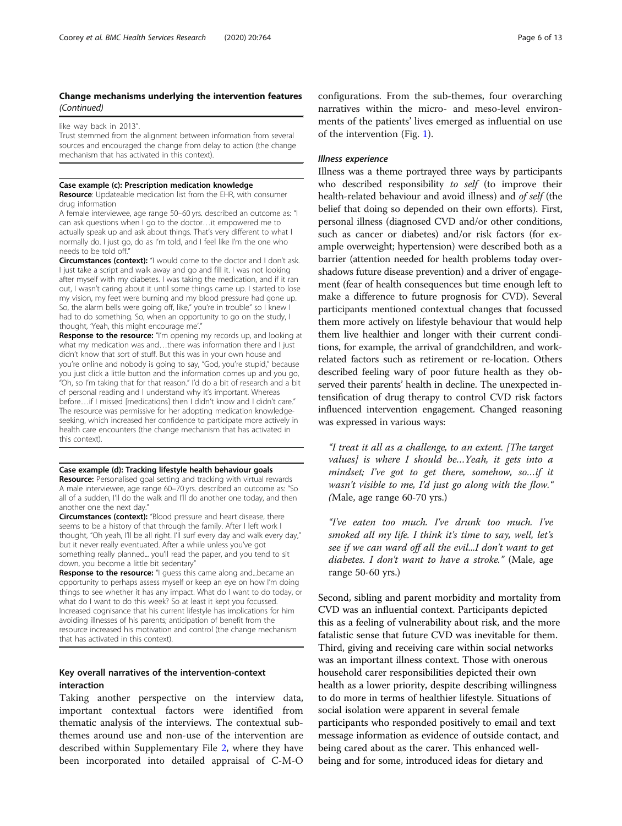## Change mechanisms underlying the intervention features (Continued)

like way back in 2013"

Trust stemmed from the alignment between information from several sources and encouraged the change from delay to action (the change mechanism that has activated in this context).

#### Case example (c): Prescription medication knowledge

Resource: Updateable medication list from the EHR, with consumer drug information

A female interviewee, age range 50–60 yrs. described an outcome as: "I can ask questions when I go to the doctor…it empowered me to actually speak up and ask about things. That's very different to what I normally do. I just go, do as I'm told, and I feel like I'm the one who needs to be told off."

Circumstances (context): "I would come to the doctor and I don't ask. I just take a script and walk away and go and fill it. I was not looking after myself with my diabetes. I was taking the medication, and if it ran out, I wasn't caring about it until some things came up. I started to lose my vision, my feet were burning and my blood pressure had gone up. So, the alarm bells were going off, like," you're in trouble" so I knew I had to do something. So, when an opportunity to go on the study, I thought, 'Yeah, this might encourage me'."

Response to the resource: "I'm opening my records up, and looking at what my medication was and...there was information there and Liust didn't know that sort of stuff. But this was in your own house and you're online and nobody is going to say, "God, you're stupid," because you just click a little button and the information comes up and you go, "Oh, so I'm taking that for that reason." I'd do a bit of research and a bit of personal reading and I understand why it's important. Whereas before…if I missed [medications] then I didn't know and I didn't care." The resource was permissive for her adopting medication knowledgeseeking, which increased her confidence to participate more actively in health care encounters (the change mechanism that has activated in this context).

#### Case example (d): Tracking lifestyle health behaviour goals

Resource: Personalised goal setting and tracking with virtual rewards A male interviewee, age range 60–70 yrs. described an outcome as: "So all of a sudden, I'll do the walk and I'll do another one today, and then another one the next day."

Circumstances (context): "Blood pressure and heart disease, there seems to be a history of that through the family. After I left work I thought, "Oh yeah, I'll be all right. I'll surf every day and walk every day," but it never really eventuated. After a while unless you've got something really planned... you'll read the paper, and you tend to sit down, you become a little bit sedentary"

Response to the resource: "I guess this came along and...became an opportunity to perhaps assess myself or keep an eye on how I'm doing things to see whether it has any impact. What do I want to do today, or what do I want to do this week? So at least it kept you focussed. Increased cognisance that his current lifestyle has implications for him avoiding illnesses of his parents; anticipation of benefit from the resource increased his motivation and control (the change mechanism that has activated in this context).

## Key overall narratives of the intervention-context interaction

Taking another perspective on the interview data, important contextual factors were identified from thematic analysis of the interviews. The contextual subthemes around use and non-use of the intervention are described within Supplementary File [2,](#page-10-0) where they have been incorporated into detailed appraisal of C-M-O

configurations. From the sub-themes, four overarching narratives within the micro- and meso-level environments of the patients' lives emerged as influential on use of the intervention (Fig. [1\)](#page-6-0).

### Illness experience

Illness was a theme portrayed three ways by participants who described responsibility to self (to improve their health-related behaviour and avoid illness) and of self (the belief that doing so depended on their own efforts). First, personal illness (diagnosed CVD and/or other conditions, such as cancer or diabetes) and/or risk factors (for example overweight; hypertension) were described both as a barrier (attention needed for health problems today overshadows future disease prevention) and a driver of engagement (fear of health consequences but time enough left to make a difference to future prognosis for CVD). Several participants mentioned contextual changes that focussed them more actively on lifestyle behaviour that would help them live healthier and longer with their current conditions, for example, the arrival of grandchildren, and workrelated factors such as retirement or re-location. Others described feeling wary of poor future health as they observed their parents' health in decline. The unexpected intensification of drug therapy to control CVD risk factors influenced intervention engagement. Changed reasoning was expressed in various ways:

"I treat it all as a challenge, to an extent. [The target values] is where I should be…Yeah, it gets into a mindset; I've got to get there, somehow, so…if it wasn't visible to me, I'd just go along with the flow." (Male, age range 60-70 yrs.)

"I've eaten too much. I've drunk too much. I've smoked all my life. I think it's time to say, well, let's see if we can ward off all the evil...I don't want to get diabetes. I don't want to have a stroke." (Male, age range 50-60 yrs.)

Second, sibling and parent morbidity and mortality from CVD was an influential context. Participants depicted this as a feeling of vulnerability about risk, and the more fatalistic sense that future CVD was inevitable for them. Third, giving and receiving care within social networks was an important illness context. Those with onerous household carer responsibilities depicted their own health as a lower priority, despite describing willingness to do more in terms of healthier lifestyle. Situations of social isolation were apparent in several female participants who responded positively to email and text message information as evidence of outside contact, and being cared about as the carer. This enhanced wellbeing and for some, introduced ideas for dietary and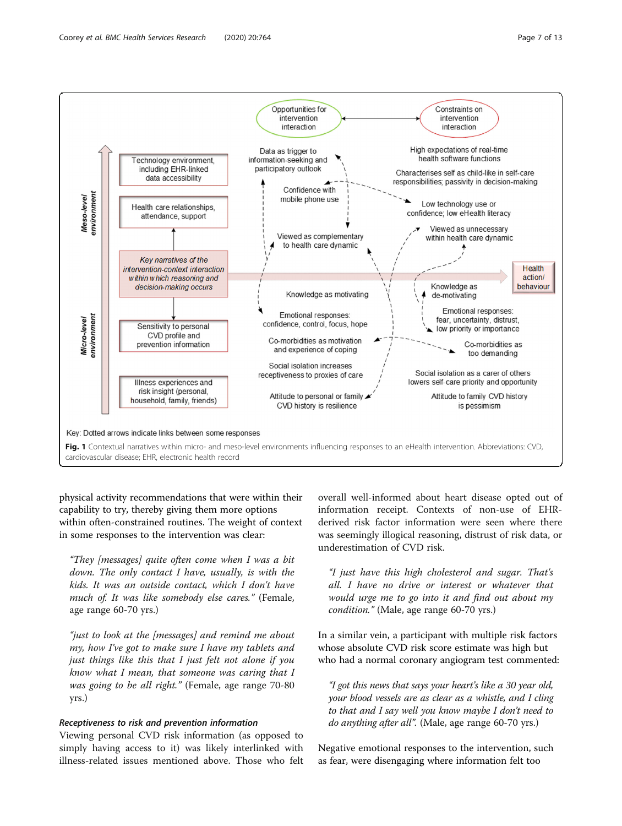<span id="page-6-0"></span>

physical activity recommendations that were within their capability to try, thereby giving them more options within often-constrained routines. The weight of context in some responses to the intervention was clear:

"They [messages] quite often come when I was a bit down. The only contact I have, usually, is with the kids. It was an outside contact, which I don't have much of. It was like somebody else cares." (Female, age range 60-70 yrs.)

"just to look at the [messages] and remind me about my, how I've got to make sure I have my tablets and just things like this that I just felt not alone if you know what I mean, that someone was caring that I was going to be all right." (Female, age range 70-80 yrs.)

### Receptiveness to risk and prevention information

Viewing personal CVD risk information (as opposed to simply having access to it) was likely interlinked with illness-related issues mentioned above. Those who felt overall well-informed about heart disease opted out of information receipt. Contexts of non-use of EHRderived risk factor information were seen where there was seemingly illogical reasoning, distrust of risk data, or underestimation of CVD risk.

"I just have this high cholesterol and sugar. That's all. I have no drive or interest or whatever that would urge me to go into it and find out about my condition." (Male, age range 60-70 yrs.)

In a similar vein, a participant with multiple risk factors whose absolute CVD risk score estimate was high but who had a normal coronary angiogram test commented:

"I got this news that says your heart's like a 30 year old, your blood vessels are as clear as a whistle, and I cling to that and I say well you know maybe I don't need to do anything after all". (Male, age range 60-70 yrs.)

Negative emotional responses to the intervention, such as fear, were disengaging where information felt too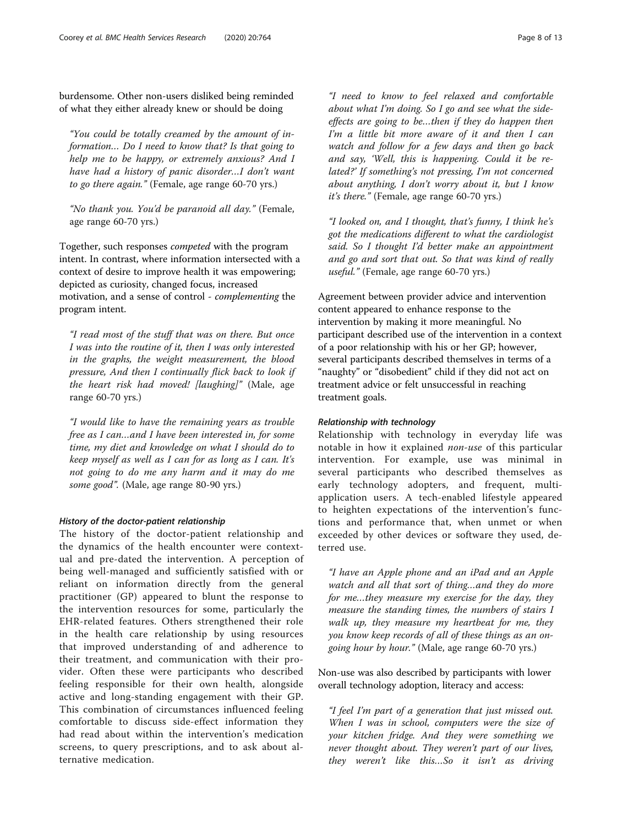burdensome. Other non-users disliked being reminded of what they either already knew or should be doing

"You could be totally creamed by the amount of information… Do I need to know that? Is that going to help me to be happy, or extremely anxious? And I have had a history of panic disorder…I don't want to go there again." (Female, age range 60-70 yrs.)

"No thank you. You'd be paranoid all day." (Female, age range 60-70 yrs.)

Together, such responses competed with the program intent. In contrast, where information intersected with a context of desire to improve health it was empowering; depicted as curiosity, changed focus, increased motivation, and a sense of control - complementing the program intent.

"I read most of the stuff that was on there. But once I was into the routine of it, then I was only interested in the graphs, the weight measurement, the blood pressure, And then I continually flick back to look if the heart risk had moved! [laughing]" (Male, age range 60-70 yrs.)

"I would like to have the remaining years as trouble free as I can…and I have been interested in, for some time, my diet and knowledge on what I should do to keep myself as well as I can for as long as I can. It's not going to do me any harm and it may do me some good". (Male, age range 80-90 yrs.)

#### History of the doctor-patient relationship

The history of the doctor-patient relationship and the dynamics of the health encounter were contextual and pre-dated the intervention. A perception of being well-managed and sufficiently satisfied with or reliant on information directly from the general practitioner (GP) appeared to blunt the response to the intervention resources for some, particularly the EHR-related features. Others strengthened their role in the health care relationship by using resources that improved understanding of and adherence to their treatment, and communication with their provider. Often these were participants who described feeling responsible for their own health, alongside active and long-standing engagement with their GP. This combination of circumstances influenced feeling comfortable to discuss side-effect information they had read about within the intervention's medication screens, to query prescriptions, and to ask about alternative medication.

"I need to know to feel relaxed and comfortable about what I'm doing. So I go and see what the sideeffects are going to be…then if they do happen then I'm a little bit more aware of it and then I can watch and follow for a few days and then go back and say, 'Well, this is happening. Could it be related?' If something's not pressing, I'm not concerned about anything, I don't worry about it, but I know it's there." (Female, age range 60-70 yrs.)

"I looked on, and I thought, that's funny, I think he's got the medications different to what the cardiologist said. So I thought I'd better make an appointment and go and sort that out. So that was kind of really useful." (Female, age range 60-70 yrs.)

Agreement between provider advice and intervention content appeared to enhance response to the intervention by making it more meaningful. No participant described use of the intervention in a context of a poor relationship with his or her GP; however, several participants described themselves in terms of a "naughty" or "disobedient" child if they did not act on treatment advice or felt unsuccessful in reaching treatment goals.

## Relationship with technology

Relationship with technology in everyday life was notable in how it explained non-use of this particular intervention. For example, use was minimal in several participants who described themselves as early technology adopters, and frequent, multiapplication users. A tech-enabled lifestyle appeared to heighten expectations of the intervention's functions and performance that, when unmet or when exceeded by other devices or software they used, deterred use.

"I have an Apple phone and an iPad and an Apple watch and all that sort of thing…and they do more for me…they measure my exercise for the day, they measure the standing times, the numbers of stairs I walk up, they measure my heartbeat for me, they you know keep records of all of these things as an ongoing hour by hour." (Male, age range 60-70 yrs.)

Non-use was also described by participants with lower overall technology adoption, literacy and access:

"I feel I'm part of a generation that just missed out. When I was in school, computers were the size of your kitchen fridge. And they were something we never thought about. They weren't part of our lives, they weren't like this…So it isn't as driving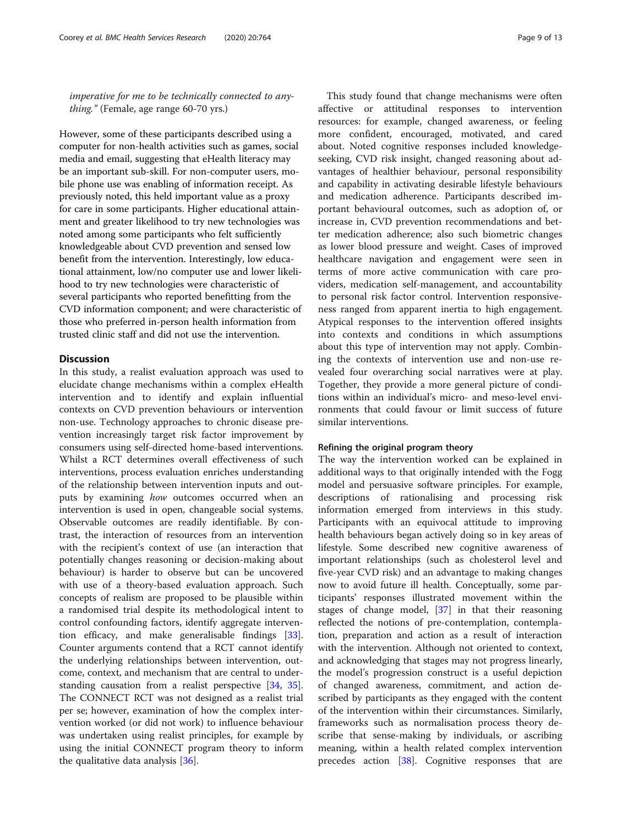imperative for me to be technically connected to anything." (Female, age range 60-70 yrs.)

However, some of these participants described using a computer for non-health activities such as games, social media and email, suggesting that eHealth literacy may be an important sub-skill. For non-computer users, mobile phone use was enabling of information receipt. As previously noted, this held important value as a proxy for care in some participants. Higher educational attainment and greater likelihood to try new technologies was noted among some participants who felt sufficiently knowledgeable about CVD prevention and sensed low benefit from the intervention. Interestingly, low educational attainment, low/no computer use and lower likelihood to try new technologies were characteristic of several participants who reported benefitting from the CVD information component; and were characteristic of those who preferred in-person health information from trusted clinic staff and did not use the intervention.

## **Discussion**

In this study, a realist evaluation approach was used to elucidate change mechanisms within a complex eHealth intervention and to identify and explain influential contexts on CVD prevention behaviours or intervention non-use. Technology approaches to chronic disease prevention increasingly target risk factor improvement by consumers using self-directed home-based interventions. Whilst a RCT determines overall effectiveness of such interventions, process evaluation enriches understanding of the relationship between intervention inputs and outputs by examining *how* outcomes occurred when an intervention is used in open, changeable social systems. Observable outcomes are readily identifiable. By contrast, the interaction of resources from an intervention with the recipient's context of use (an interaction that potentially changes reasoning or decision-making about behaviour) is harder to observe but can be uncovered with use of a theory-based evaluation approach. Such concepts of realism are proposed to be plausible within a randomised trial despite its methodological intent to control confounding factors, identify aggregate intervention efficacy, and make generalisable findings [\[33](#page-12-0)]. Counter arguments contend that a RCT cannot identify the underlying relationships between intervention, outcome, context, and mechanism that are central to understanding causation from a realist perspective [\[34](#page-12-0), [35](#page-12-0)]. The CONNECT RCT was not designed as a realist trial per se; however, examination of how the complex intervention worked (or did not work) to influence behaviour was undertaken using realist principles, for example by using the initial CONNECT program theory to inform the qualitative data analysis [\[36](#page-12-0)].

This study found that change mechanisms were often affective or attitudinal responses to intervention resources: for example, changed awareness, or feeling more confident, encouraged, motivated, and cared about. Noted cognitive responses included knowledgeseeking, CVD risk insight, changed reasoning about advantages of healthier behaviour, personal responsibility and capability in activating desirable lifestyle behaviours and medication adherence. Participants described important behavioural outcomes, such as adoption of, or increase in, CVD prevention recommendations and better medication adherence; also such biometric changes as lower blood pressure and weight. Cases of improved healthcare navigation and engagement were seen in terms of more active communication with care providers, medication self-management, and accountability to personal risk factor control. Intervention responsiveness ranged from apparent inertia to high engagement. Atypical responses to the intervention offered insights into contexts and conditions in which assumptions about this type of intervention may not apply. Combining the contexts of intervention use and non-use revealed four overarching social narratives were at play. Together, they provide a more general picture of conditions within an individual's micro- and meso-level environments that could favour or limit success of future similar interventions.

### Refining the original program theory

The way the intervention worked can be explained in additional ways to that originally intended with the Fogg model and persuasive software principles. For example, descriptions of rationalising and processing risk information emerged from interviews in this study. Participants with an equivocal attitude to improving health behaviours began actively doing so in key areas of lifestyle. Some described new cognitive awareness of important relationships (such as cholesterol level and five-year CVD risk) and an advantage to making changes now to avoid future ill health. Conceptually, some participants' responses illustrated movement within the stages of change model,  $[37]$  $[37]$  $[37]$  in that their reasoning reflected the notions of pre-contemplation, contemplation, preparation and action as a result of interaction with the intervention. Although not oriented to context, and acknowledging that stages may not progress linearly, the model's progression construct is a useful depiction of changed awareness, commitment, and action described by participants as they engaged with the content of the intervention within their circumstances. Similarly, frameworks such as normalisation process theory describe that sense-making by individuals, or ascribing meaning, within a health related complex intervention precedes action [\[38](#page-12-0)]. Cognitive responses that are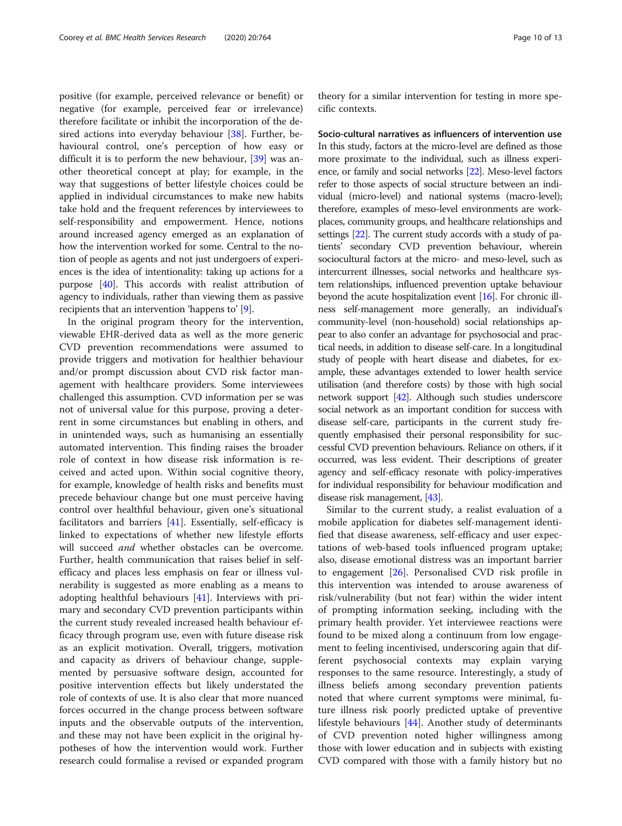positive (for example, perceived relevance or benefit) or negative (for example, perceived fear or irrelevance) therefore facilitate or inhibit the incorporation of the desired actions into everyday behaviour  $[38]$ . Further, behavioural control, one's perception of how easy or difficult it is to perform the new behaviour, [[39\]](#page-12-0) was another theoretical concept at play; for example, in the way that suggestions of better lifestyle choices could be applied in individual circumstances to make new habits take hold and the frequent references by interviewees to self-responsibility and empowerment. Hence, notions around increased agency emerged as an explanation of how the intervention worked for some. Central to the notion of people as agents and not just undergoers of experiences is the idea of intentionality: taking up actions for a purpose [\[40\]](#page-12-0). This accords with realist attribution of agency to individuals, rather than viewing them as passive recipients that an intervention 'happens to' [\[9](#page-11-0)].

In the original program theory for the intervention, viewable EHR-derived data as well as the more generic CVD prevention recommendations were assumed to provide triggers and motivation for healthier behaviour and/or prompt discussion about CVD risk factor management with healthcare providers. Some interviewees challenged this assumption. CVD information per se was not of universal value for this purpose, proving a deterrent in some circumstances but enabling in others, and in unintended ways, such as humanising an essentially automated intervention. This finding raises the broader role of context in how disease risk information is received and acted upon. Within social cognitive theory, for example, knowledge of health risks and benefits must precede behaviour change but one must perceive having control over healthful behaviour, given one's situational facilitators and barriers [[41\]](#page-12-0). Essentially, self-efficacy is linked to expectations of whether new lifestyle efforts will succeed *and* whether obstacles can be overcome. Further, health communication that raises belief in selfefficacy and places less emphasis on fear or illness vulnerability is suggested as more enabling as a means to adopting healthful behaviours [\[41\]](#page-12-0). Interviews with primary and secondary CVD prevention participants within the current study revealed increased health behaviour efficacy through program use, even with future disease risk as an explicit motivation. Overall, triggers, motivation and capacity as drivers of behaviour change, supplemented by persuasive software design, accounted for positive intervention effects but likely understated the role of contexts of use. It is also clear that more nuanced forces occurred in the change process between software inputs and the observable outputs of the intervention, and these may not have been explicit in the original hypotheses of how the intervention would work. Further research could formalise a revised or expanded program

theory for a similar intervention for testing in more specific contexts.

Socio-cultural narratives as influencers of intervention use In this study, factors at the micro-level are defined as those more proximate to the individual, such as illness experience, or family and social networks [[22\]](#page-11-0). Meso-level factors refer to those aspects of social structure between an individual (micro-level) and national systems (macro-level); therefore, examples of meso-level environments are workplaces, community groups, and healthcare relationships and settings [\[22\]](#page-11-0). The current study accords with a study of patients' secondary CVD prevention behaviour, wherein sociocultural factors at the micro- and meso-level, such as intercurrent illnesses, social networks and healthcare system relationships, influenced prevention uptake behaviour beyond the acute hospitalization event [[16](#page-11-0)]. For chronic illness self-management more generally, an individual's community-level (non-household) social relationships appear to also confer an advantage for psychosocial and practical needs, in addition to disease self-care. In a longitudinal study of people with heart disease and diabetes, for example, these advantages extended to lower health service utilisation (and therefore costs) by those with high social network support [[42](#page-12-0)]. Although such studies underscore social network as an important condition for success with disease self-care, participants in the current study frequently emphasised their personal responsibility for successful CVD prevention behaviours. Reliance on others, if it occurred, was less evident. Their descriptions of greater agency and self-efficacy resonate with policy-imperatives for individual responsibility for behaviour modification and disease risk management, [[43](#page-12-0)].

Similar to the current study, a realist evaluation of a mobile application for diabetes self-management identified that disease awareness, self-efficacy and user expectations of web-based tools influenced program uptake; also, disease emotional distress was an important barrier to engagement [\[26\]](#page-11-0). Personalised CVD risk profile in this intervention was intended to arouse awareness of risk/vulnerability (but not fear) within the wider intent of prompting information seeking, including with the primary health provider. Yet interviewee reactions were found to be mixed along a continuum from low engagement to feeling incentivised, underscoring again that different psychosocial contexts may explain varying responses to the same resource. Interestingly, a study of illness beliefs among secondary prevention patients noted that where current symptoms were minimal, future illness risk poorly predicted uptake of preventive lifestyle behaviours [\[44](#page-12-0)]. Another study of determinants of CVD prevention noted higher willingness among those with lower education and in subjects with existing CVD compared with those with a family history but no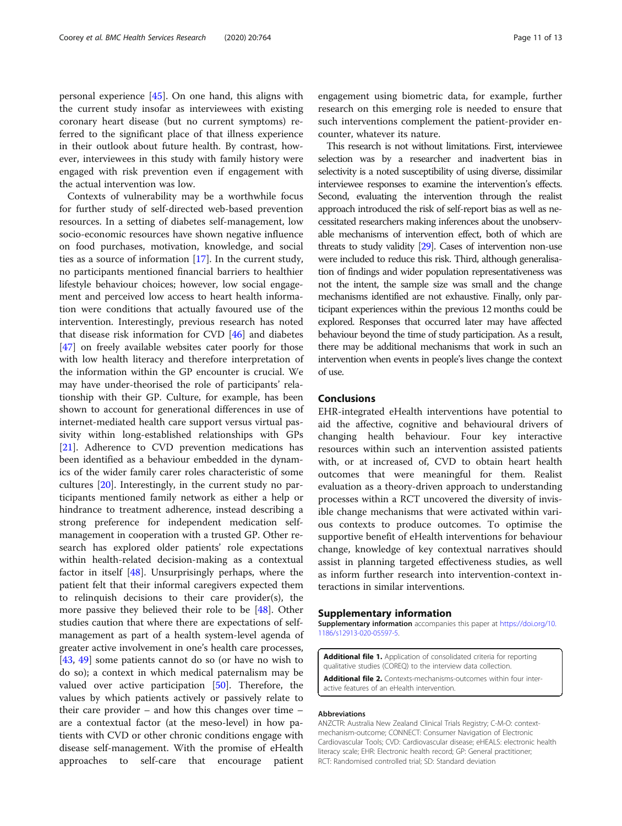<span id="page-10-0"></span>personal experience [[45\]](#page-12-0). On one hand, this aligns with the current study insofar as interviewees with existing coronary heart disease (but no current symptoms) referred to the significant place of that illness experience in their outlook about future health. By contrast, however, interviewees in this study with family history were engaged with risk prevention even if engagement with the actual intervention was low.

Contexts of vulnerability may be a worthwhile focus for further study of self-directed web-based prevention resources. In a setting of diabetes self-management, low socio-economic resources have shown negative influence on food purchases, motivation, knowledge, and social ties as a source of information [[17](#page-11-0)]. In the current study, no participants mentioned financial barriers to healthier lifestyle behaviour choices; however, low social engagement and perceived low access to heart health information were conditions that actually favoured use of the intervention. Interestingly, previous research has noted that disease risk information for CVD [\[46\]](#page-12-0) and diabetes [[47\]](#page-12-0) on freely available websites cater poorly for those with low health literacy and therefore interpretation of the information within the GP encounter is crucial. We may have under-theorised the role of participants' relationship with their GP. Culture, for example, has been shown to account for generational differences in use of internet-mediated health care support versus virtual passivity within long-established relationships with GPs [[21\]](#page-11-0). Adherence to CVD prevention medications has been identified as a behaviour embedded in the dynamics of the wider family carer roles characteristic of some cultures [\[20](#page-11-0)]. Interestingly, in the current study no participants mentioned family network as either a help or hindrance to treatment adherence, instead describing a strong preference for independent medication selfmanagement in cooperation with a trusted GP. Other research has explored older patients' role expectations within health-related decision-making as a contextual factor in itself [[48\]](#page-12-0). Unsurprisingly perhaps, where the patient felt that their informal caregivers expected them to relinquish decisions to their care provider(s), the more passive they believed their role to be [[48\]](#page-12-0). Other studies caution that where there are expectations of selfmanagement as part of a health system-level agenda of greater active involvement in one's health care processes, [[43,](#page-12-0) [49](#page-12-0)] some patients cannot do so (or have no wish to do so); a context in which medical paternalism may be valued over active participation [\[50](#page-12-0)]. Therefore, the values by which patients actively or passively relate to their care provider – and how this changes over time – are a contextual factor (at the meso-level) in how patients with CVD or other chronic conditions engage with disease self-management. With the promise of eHealth approaches to self-care that encourage patient engagement using biometric data, for example, further research on this emerging role is needed to ensure that such interventions complement the patient-provider encounter, whatever its nature.

This research is not without limitations. First, interviewee selection was by a researcher and inadvertent bias in selectivity is a noted susceptibility of using diverse, dissimilar interviewee responses to examine the intervention's effects. Second, evaluating the intervention through the realist approach introduced the risk of self-report bias as well as necessitated researchers making inferences about the unobservable mechanisms of intervention effect, both of which are threats to study validity [\[29\]](#page-12-0). Cases of intervention non-use were included to reduce this risk. Third, although generalisation of findings and wider population representativeness was not the intent, the sample size was small and the change mechanisms identified are not exhaustive. Finally, only participant experiences within the previous 12 months could be explored. Responses that occurred later may have affected behaviour beyond the time of study participation. As a result, there may be additional mechanisms that work in such an intervention when events in people's lives change the context of use.

## Conclusions

EHR-integrated eHealth interventions have potential to aid the affective, cognitive and behavioural drivers of changing health behaviour. Four key interactive resources within such an intervention assisted patients with, or at increased of, CVD to obtain heart health outcomes that were meaningful for them. Realist evaluation as a theory-driven approach to understanding processes within a RCT uncovered the diversity of invisible change mechanisms that were activated within various contexts to produce outcomes. To optimise the supportive benefit of eHealth interventions for behaviour change, knowledge of key contextual narratives should assist in planning targeted effectiveness studies, as well as inform further research into intervention-context interactions in similar interventions.

## Supplementary information

Supplementary information accompanies this paper at [https://doi.org/10.](https://doi.org/10.1186/s12913-020-05597-5) [1186/s12913-020-05597-5](https://doi.org/10.1186/s12913-020-05597-5).

Additional file 1. Application of consolidated criteria for reporting qualitative studies (COREQ) to the interview data collection. Additional file 2. Contexts-mechanisms-outcomes within four inter-

active features of an eHealth intervention.

#### Abbreviations

ANZCTR: Australia New Zealand Clinical Trials Registry; C-M-O: contextmechanism-outcome; CONNECT: Consumer Navigation of Electronic Cardiovascular Tools; CVD: Cardiovascular disease; eHEALS: electronic health literacy scale; EHR: Electronic health record; GP: General practitioner; RCT: Randomised controlled trial; SD: Standard deviation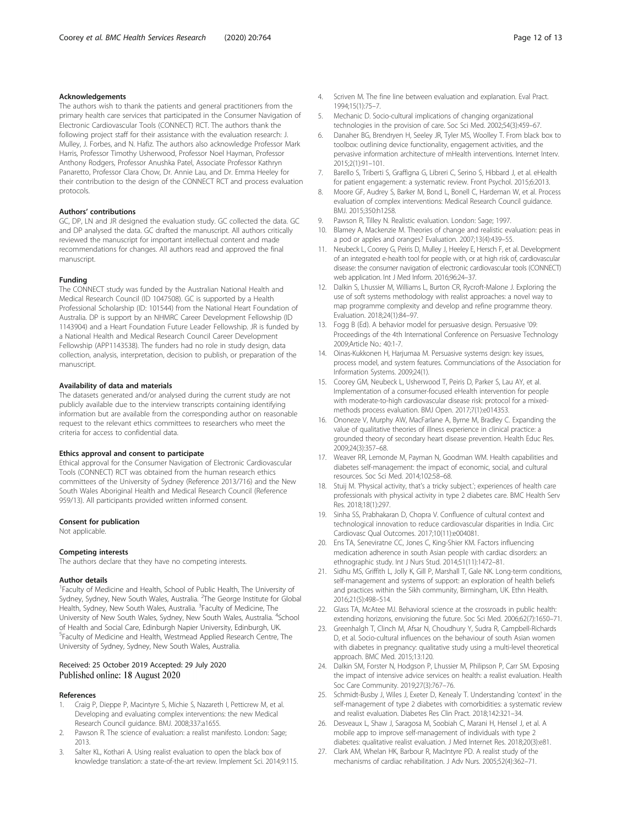### <span id="page-11-0"></span>Acknowledgements

The authors wish to thank the patients and general practitioners from the primary health care services that participated in the Consumer Navigation of Electronic Cardiovascular Tools (CONNECT) RCT. The authors thank the following project staff for their assistance with the evaluation research: J. Mulley, J. Forbes, and N. Hafiz. The authors also acknowledge Professor Mark Harris, Professor Timothy Usherwood, Professor Noel Hayman, Professor Anthony Rodgers, Professor Anushka Patel, Associate Professor Kathryn Panaretto, Professor Clara Chow, Dr. Annie Lau, and Dr. Emma Heeley for their contribution to the design of the CONNECT RCT and process evaluation protocols.

#### Authors' contributions

GC, DP, LN and JR designed the evaluation study. GC collected the data. GC and DP analysed the data. GC drafted the manuscript. All authors critically reviewed the manuscript for important intellectual content and made recommendations for changes. All authors read and approved the final manuscript.

#### Funding

The CONNECT study was funded by the Australian National Health and Medical Research Council (ID 1047508). GC is supported by a Health Professional Scholarship (ID: 101544) from the National Heart Foundation of Australia. DP is support by an NHMRC Career Development Fellowship (ID 1143904) and a Heart Foundation Future Leader Fellowship. JR is funded by a National Health and Medical Research Council Career Development Fellowship (APP1143538). The funders had no role in study design, data collection, analysis, interpretation, decision to publish, or preparation of the manuscript.

#### Availability of data and materials

The datasets generated and/or analysed during the current study are not publicly available due to the interview transcripts containing identifying information but are available from the corresponding author on reasonable request to the relevant ethics committees to researchers who meet the criteria for access to confidential data.

#### Ethics approval and consent to participate

Ethical approval for the Consumer Navigation of Electronic Cardiovascular Tools (CONNECT) RCT was obtained from the human research ethics committees of the University of Sydney (Reference 2013/716) and the New South Wales Aboriginal Health and Medical Research Council (Reference 959/13). All participants provided written informed consent.

#### Consent for publication

Not applicable.

#### Competing interests

The authors declare that they have no competing interests.

#### Author details

<sup>1</sup> Faculty of Medicine and Health, School of Public Health, The University of Sydney, Sydney, New South Wales, Australia. <sup>2</sup>The George Institute for Global<br>Health, Sydney, New South Wales, Australia. <sup>3</sup>Faculty of Medicine, The University of New South Wales, Sydney, New South Wales, Australia. <sup>4</sup>School of Health and Social Care, Edinburgh Napier University, Edinburgh, UK. 5 Faculty of Medicine and Health, Westmead Applied Research Centre, The University of Sydney, Sydney, New South Wales, Australia.

#### Received: 25 October 2019 Accepted: 29 July 2020 Published online: 18 August 2020

#### References

- 1. Craig P, Dieppe P, Macintyre S, Michie S, Nazareth I, Petticrew M, et al. Developing and evaluating complex interventions: the new Medical Research Council guidance. BMJ. 2008;337:a1655.
- 2. Pawson R. The science of evaluation: a realist manifesto. London: Sage; 2013.
- 3. Salter KL, Kothari A. Using realist evaluation to open the black box of knowledge translation: a state-of-the-art review. Implement Sci. 2014;9:115.
- 4. Scriven M. The fine line between evaluation and explanation. Eval Pract. 1994;15(1):75–7.
- 5. Mechanic D. Socio-cultural implications of changing organizational technologies in the provision of care. Soc Sci Med. 2002;54(3):459–67.
- 6. Danaher BG, Brendryen H, Seeley JR, Tyler MS, Woolley T. From black box to toolbox: outlining device functionality, engagement activities, and the pervasive information architecture of mHealth interventions. Internet Interv.  $2015:2(1):91-101$
- 7. Barello S, Triberti S, Graffigna G, Libreri C, Serino S, Hibbard J, et al. eHealth for patient engagement: a systematic review. Front Psychol. 2015;6:2013.
- 8. Moore GF, Audrey S, Barker M, Bond L, Bonell C, Hardeman W, et al. Process evaluation of complex interventions: Medical Research Council guidance. BMJ. 2015;350:h1258.
- 9. Pawson R, Tilley N. Realistic evaluation. London: Sage; 1997.
- 10. Blamey A, Mackenzie M. Theories of change and realistic evaluation: peas in a pod or apples and oranges? Evaluation. 2007;13(4):439–55.
- 11. Neubeck L, Coorey G, Peiris D, Mulley J, Heeley E, Hersch F, et al. Development of an integrated e-health tool for people with, or at high risk of, cardiovascular disease: the consumer navigation of electronic cardiovascular tools (CONNECT) web application. Int J Med Inform. 2016;96:24–37.
- 12. Dalkin S, Lhussier M, Williams L, Burton CR, Rycroft-Malone J. Exploring the use of soft systems methodology with realist approaches: a novel way to map programme complexity and develop and refine programme theory. Evaluation. 2018;24(1):84–97.
- 13. Fogg B (Ed). A behavior model for persuasive design. Persuasive '09: Proceedings of the 4th International Conference on Persuasive Technology 2009;Article No.: 40:1-7.
- 14. Oinas-Kukkonen H, Harjumaa M. Persuasive systems design: key issues, process model, and system features. Communciations of the Association for Information Systems. 2009;24(1).
- 15. Coorey GM, Neubeck L, Usherwood T, Peiris D, Parker S, Lau AY, et al. Implementation of a consumer-focused eHealth intervention for people with moderate-to-high cardiovascular disease risk: protocol for a mixedmethods process evaluation. BMJ Open. 2017;7(1):e014353.
- 16. Ononeze V, Murphy AW, MacFarlane A, Byrne M, Bradley C. Expanding the value of qualitative theories of illness experience in clinical practice: a grounded theory of secondary heart disease prevention. Health Educ Res. 2009;24(3):357–68.
- 17. Weaver RR, Lemonde M, Payman N, Goodman WM. Health capabilities and diabetes self-management: the impact of economic, social, and cultural resources. Soc Sci Med. 2014;102:58–68.
- 18. Stuij M. 'Physical activity, that's a tricky subject.'; experiences of health care professionals with physical activity in type 2 diabetes care. BMC Health Serv Res. 2018;18(1):297.
- 19. Sinha SS, Prabhakaran D, Chopra V. Confluence of cultural context and technological innovation to reduce cardiovascular disparities in India. Circ Cardiovasc Qual Outcomes. 2017;10(11):e004081.
- 20. Ens TA, Seneviratne CC, Jones C, King-Shier KM. Factors influencing medication adherence in south Asian people with cardiac disorders: an ethnographic study. Int J Nurs Stud. 2014;51(11):1472–81.
- 21. Sidhu MS, Griffith L, Jolly K, Gill P, Marshall T, Gale NK. Long-term conditions, self-management and systems of support: an exploration of health beliefs and practices within the Sikh community, Birmingham, UK. Ethn Health. 2016;21(5):498–514.
- 22. Glass TA, McAtee MJ. Behavioral science at the crossroads in public health: extending horizons, envisioning the future. Soc Sci Med. 2006;62(7):1650–71.
- 23. Greenhalgh T, Clinch M, Afsar N, Choudhury Y, Sudra R, Campbell-Richards D, et al. Socio-cultural influences on the behaviour of south Asian women with diabetes in pregnancy: qualitative study using a multi-level theoretical approach. BMC Med. 2015;13:120.
- 24. Dalkin SM, Forster N, Hodgson P, Lhussier M, Philipson P, Carr SM. Exposing the impact of intensive advice services on health: a realist evaluation. Health Soc Care Community. 2019;27(3):767–76.
- 25. Schmidt-Busby J, Wiles J, Exeter D, Kenealy T. Understanding 'context' in the self-management of type 2 diabetes with comorbidities: a systematic review and realist evaluation. Diabetes Res Clin Pract. 2018;142:321–34.
- 26. Desveaux L, Shaw J, Saragosa M, Soobiah C, Marani H, Hensel J, et al. A mobile app to improve self-management of individuals with type 2 diabetes: qualitative realist evaluation. J Med Internet Res. 2018;20(3):e81.
- 27. Clark AM, Whelan HK, Barbour R, MacIntyre PD. A realist study of the mechanisms of cardiac rehabilitation. J Adv Nurs. 2005;52(4):362–71.